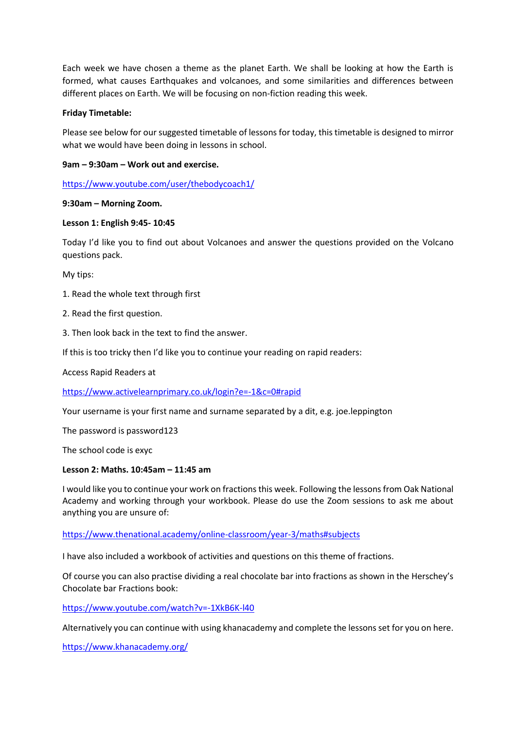Each week we have chosen a theme as the planet Earth. We shall be looking at how the Earth is formed, what causes Earthquakes and volcanoes, and some similarities and differences between different places on Earth. We will be focusing on non-fiction reading this week.

#### **Friday Timetable:**

Please see below for our suggested timetable of lessons for today, this timetable is designed to mirror what we would have been doing in lessons in school.

### **9am – 9:30am – Work out and exercise.**

<https://www.youtube.com/user/thebodycoach1/>

#### **9:30am – Morning Zoom.**

#### **Lesson 1: English 9:45- 10:45**

Today I'd like you to find out about Volcanoes and answer the questions provided on the Volcano questions pack.

My tips:

- 1. Read the whole text through first
- 2. Read the first question.
- 3. Then look back in the text to find the answer.

If this is too tricky then I'd like you to continue your reading on rapid readers:

Access Rapid Readers at

<https://www.activelearnprimary.co.uk/login?e=-1&c=0#rapid>

Your username is your first name and surname separated by a dit, e.g. joe.leppington

The password is password123

The school code is exyc

#### **Lesson 2: Maths. 10:45am – 11:45 am**

I would like you to continue your work on fractions this week. Following the lessons from Oak National Academy and working through your workbook. Please do use the Zoom sessions to ask me about anything you are unsure of:

<https://www.thenational.academy/online-classroom/year-3/maths#subjects>

I have also included a workbook of activities and questions on this theme of fractions.

Of course you can also practise dividing a real chocolate bar into fractions as shown in the Herschey's Chocolate bar Fractions book:

<https://www.youtube.com/watch?v=-1XkB6K-l40>

Alternatively you can continue with using khanacademy and complete the lessons set for you on here.

<https://www.khanacademy.org/>